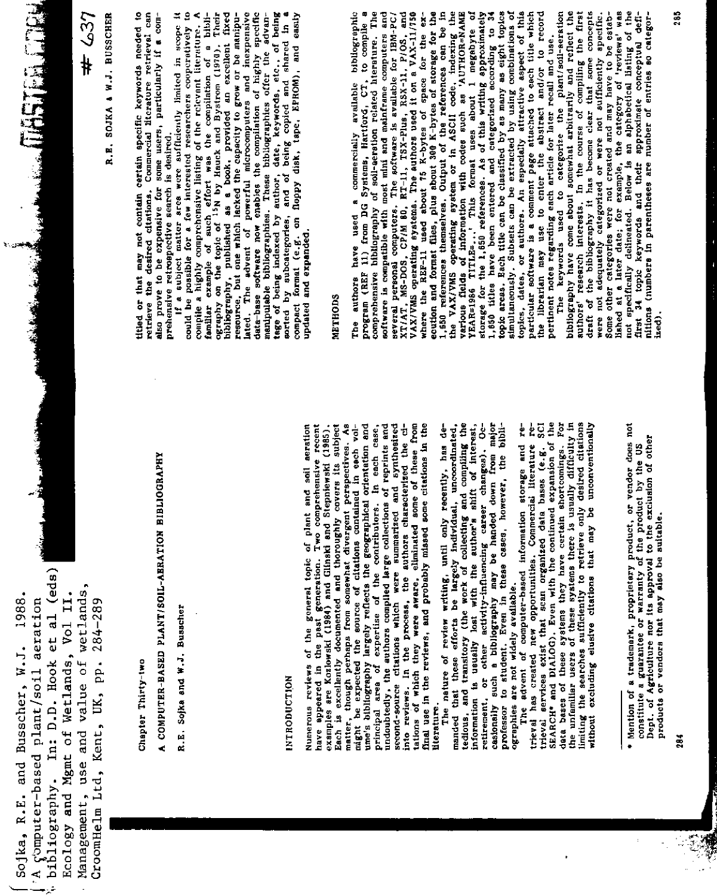bibliography. In: D.D. Hook et al (eds) Management, use and value of wetlands, Ecology and Mgmt of Wetlands, Vol II. Sojka, R.E. and Busscher, W.J. 1988. 'A computer-based plant/soil aeration CroomHelm Ltd, Kent, UK, pp. 284-289

 $#637$ 

FOR EXPERIMENTATION

R.E. SOJKA & W.J. BUSSCHER

Chapter Thirty-two

A COMPUTER-BASED PLANT/SOIL-AERATION BIBLIOGRAPHY

R.E. Sojka and W.J. Busscher

### **INTRODUCTION**

second-source citations which were summarized and synthesized<br>into reviews. In the process, the authors characterized the ci-<br>tations of which they were aware, eliminated some of these from ume's bibliography largely reflects the geographical orientation and principal area of expertise of the contributors. In each case, undoubtedly, the authors compiled large collections of reprints and undoubtedly, the autho final use in the reviews, and probably missed some citations in the Numerous reviews of the general topic of plant and soil aeration matter, though perhaps from somewhat divergent perspectives. As<br>might be expected the source of citations contained in each volhave appeared in the past generation. Two comprehensive recent examples are Kozlowski (1984) and Glinski and Stepniewski (1985). Each is excellently documented and thoroughly covers its subject literature.

The nature of review writing, until only recently, has de-<br>manded that these efforts be largely individual, uncoordinated,<br>tedious, and transitory (the work of collecting and compliing the<br>information is usually lost with retirement, or other activity-influencing career changes). Oc-<br>casionally such a bibliography may be handed down from major<br>professor to student. Even in these cases, however, the bibliographies are not widely available.

trieval services exist that scan organized data bases (e.g. SCI<br>SEARCH\* and DIALOG). Even with the continued expansion of the<br>data bases of these systems they have certain shortcomings. For excluding elusive citations that may be unconventionally The advent of computer-based information storage and retrieval has created new opportunities. Commercial literature rethe unfamiliar users of these systems there is usually difficulty in limiting the searches sufficiently to retrieve only desired citations without

ł,

titled or that may not contain certain specific keywords needed to retrieve the desired citations. Commercial literature retrieval can also prove to be expensive for some users, particularly if a com-If a subject matter area were sufficiently limited in scope it prehensive retrospective search is desired.

manipulable bibliographies. These bibliographies offer five advantage of being indexed by author, date, keywords, etc., of being sorted by subcategories, and of being copied and shared in a population of the subcategories, familiar example of such effort was the compilation of a bibli-<br>ography on the topic of <sup>15</sup>N by Hauck and Bystrom (1970). Their bibliography, published as a book, provided an excellent fixed resource, but one which lacked the capacity to grow or be manipulated. The advent of powerful microcomputers and inexpensive<br>data-base software now enables the compilation of highly specific could be possible for a few interested researchers cooperatively to compile a highly comprehensive listing of the relevant literature. A

### **METHODS**

where the REF-11 used about 75 K-bytes of space for the ex-<br>equiton and format files, plus sbout 76 K-bytes of space for the ex-<br>1,16 VKVWRS exhausters. Output 16 K-bytes of storage for the<br>14 WKVWRS ethemselves. Output 1 The authors have used a commercially available bibliographic<br>program (REF 11) from DG Systems, Hartford, CT, to compile a<br>comprehensive bibliography of soil-aereiton related hiterature. The VAX/VMS operating systems. The authors used it on a VAX-11/750 particular software is a comment page attached to each title which<br>the librarian may use to enter the abstract and/or to record several personal computers. The software is available for IBM-PC/ $XT/1A$ , MS-DOS, CP/M 80, R<sub>1</sub>-11, TSX-Plus, RSX-11, P/OS, and topics, dates, or authors. An especially attractive aspect of this The keywords used to categorize the plant/soil-seration software is compatible with most mini and mainframe computers and pertinent notes regarding each article for later recall and use.

draft of the bibliography it has become clear that some concepts were not adequately categorized or were not sufficiently specific. Some other categories were not created and may have to be established at a later date; for example, the category of instruction in the category of interior when the category of interior when the category of interior when t bibliography have come about somewhat arbitrarily and reflect the authors' research interests. In the course of compiling the first nitions (numbers in parentheses are number of entries so categorized).

<sup>•</sup> Mention of a trademark, proprietary product, or vendor does not constitute a guarantee or warranty of the product by the US Dept. of Agriculture nor its approved to the exclusion of other products or vendors that may also be suitable.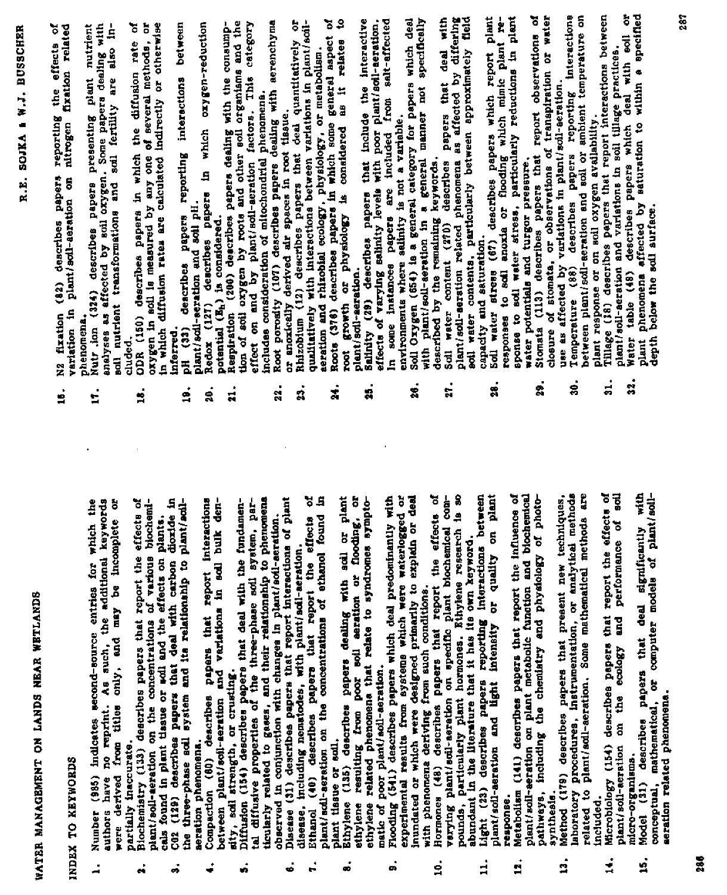| NEAR WETLANDS             | fixation related<br>ò<br>the effects<br>reporting<br>nitrogen<br>describes papers<br>variation in plant/soll-aeration on<br>N2 fixation (82)<br>ś | Nutr ion (324) describes papers presenting plant nutrient<br>analyses as affected by soil oxygen. Some papers dealing with<br>soll nutrient transformations and soil fertility are also in-<br>plant<br>phenomena.<br>t.<br>the additional keywords | ODR (150) describes papers in which the diffusion rate of exygen in soil is measured by any one of several methods, or in which diffusion rates are calculated indirectly or otherwise<br>cluded.<br>ś.<br>papers that report the effects of<br>will and the effects on plants. | pH (33) describes papers reporting interections between<br>plant/soil-scration and soil pH.<br>inferred.<br>$\overline{a}$<br>á.<br>that deal with carbon dioxide in<br>and its relationship to plant/acil- | Redox (127) describes papers in which orygen-reduction<br>potential (E <sub>h</sub> ) is considered.<br>å.<br>papers that report interactions<br>and variations in soil bulk den- | Respiration (200) describes papers dealing with the consump-<br>tion of soil oxygen by roots and other soil organisms and the<br>effect on and by plant/soil-aeration factors. This category<br>includes consideration of mitochondrial phenomena.<br>$\ddot{a}$<br>the three-phase soil system, par- | Root porosity (107) describes papers dealing with aerenchyma<br>or anoxically derived air spaces in root tissue.<br>$\ddot{a}$                                                                                                                                | ä<br>qualitatively with interactions between variations in plant/scil-<br>Rhizobium (12) describes papers that deal quantitatively<br>្ល<br>ă<br>S | ă<br>\$<br>seration and rhizobial ecology, physiology, or metabolism.<br>Roots (376) describes papers in which some general aspect<br>relates<br>$\frac{1}{2}$<br>ż | growth or physiology is considered<br>plant/soil-aeration.<br>root<br>resulting from poor soil aeration or flooding, or               | saluity (29) describes papers that include the interactive effects of varying saluity levels with poor plant/soil-seration.<br>.<br>N | In some instances papers are included from salt-affected<br>Soil Oxygen (654) is a general category for papers which deal<br>26. | <b>Title</b><br>with plant/soil-aeration in a general manner not specifically<br>described by the remaining keywords. | plant/soil-serstion related phenomena as affected by differing<br>papers that deal<br>describes<br>Soil water content (270)<br>t.<br>N<br>hormones. Ethylene research is so<br>on specific plant biochemical com- | edl water contents, particularly between approximately field capacity and saturation.<br>Expecity and saturation.<br>Soil water stress (67) describes papers which report plant<br>responses to soil anoxia or flooding which minic pla<br>28.<br>on plant<br>or quality | sponse to acil water stress, particularly reductions in plant<br>papers that report the influence of | water potentials and turgor pressure.<br>ż.<br>metabolic function and biochemical          | Stomata (113) describes papers that report observations of<br>closure of stomata, or observations of transpiration or water | use as affected by variations in plant/soil-seration.<br>Temperature (88) describes papers reporting interactions<br>between plant/soil-seration and soil or ambient temperature on<br>ę. | Tillage (18) describes papers that report interactions between<br>plant/soil-seration and variations in soil tillage practices.<br>plant response or on soil oxygen availability.<br>$\frac{1}{22}$ | describes papers which deal with soil or<br>Water table (48)<br>ដ<br>ikos<br>ecology and performance of | phenomena affected by saturation to within a specified<br>depth below the soil surface.<br>plant<br>tith<br>or computer models of plant/soil- |
|---------------------------|---------------------------------------------------------------------------------------------------------------------------------------------------|-----------------------------------------------------------------------------------------------------------------------------------------------------------------------------------------------------------------------------------------------------|---------------------------------------------------------------------------------------------------------------------------------------------------------------------------------------------------------------------------------------------------------------------------------|-------------------------------------------------------------------------------------------------------------------------------------------------------------------------------------------------------------|-----------------------------------------------------------------------------------------------------------------------------------------------------------------------------------|-------------------------------------------------------------------------------------------------------------------------------------------------------------------------------------------------------------------------------------------------------------------------------------------------------|---------------------------------------------------------------------------------------------------------------------------------------------------------------------------------------------------------------------------------------------------------------|----------------------------------------------------------------------------------------------------------------------------------------------------|---------------------------------------------------------------------------------------------------------------------------------------------------------------------|---------------------------------------------------------------------------------------------------------------------------------------|---------------------------------------------------------------------------------------------------------------------------------------|----------------------------------------------------------------------------------------------------------------------------------|-----------------------------------------------------------------------------------------------------------------------|-------------------------------------------------------------------------------------------------------------------------------------------------------------------------------------------------------------------|--------------------------------------------------------------------------------------------------------------------------------------------------------------------------------------------------------------------------------------------------------------------------|------------------------------------------------------------------------------------------------------|--------------------------------------------------------------------------------------------|-----------------------------------------------------------------------------------------------------------------------------|-------------------------------------------------------------------------------------------------------------------------------------------------------------------------------------------|-----------------------------------------------------------------------------------------------------------------------------------------------------------------------------------------------------|---------------------------------------------------------------------------------------------------------|-----------------------------------------------------------------------------------------------------------------------------------------------|
| WATER MANAGEMENT ON LANDS | INDEX TO KEYWORDS                                                                                                                                 | Number (985) indicates second-source entries for which the<br>s such,<br>authors have no reprint.<br>were derived from                                                                                                                              | plant/soil-seration on the concentrations of various biochemi-<br>Biochemistry (113) describes<br>cals found in plant tissue or<br>partially inaccurate.                                                                                                                        | (129) describes papers<br>the three-phase soil system<br>š                                                                                                                                                  | between plant/soil-aeration and<br>sity, soil strength, or crusting.<br>Compaction (60) describes<br>aeration phenomena.                                                          | Diffusion (154) describes papers that deal with the fundamen-<br>tal diffusive properties of                                                                                                                                                                                                          | observed in conjunction with changes in plant/soil-scretion.<br>Disease (31) describes papers that report intersctions of plant<br>disease, including nematodes, with plant/soil-seration.<br>ticularly related to gases, and their relationship to phenomena | Ethanol (40) describes papers that report the effects plant/soil-seretion on the concentrations of ethanol found                                   | plant tissue or soil.                                                                                                                                               | Ethylene (135) describes papers dealing with soil or plant<br>ethylene related phenomena that relate to syndromes sympto-<br>ethylene | matic of poor plant/soil-seration.<br>Flooding (541) describes papers which deal predominantly with                                   | experimental results from systems which were waterlogged or<br>inundated or which were designed primarily to explain or deal     | Hormones (48) describes papers that report the effects of<br>with phenomena deriving from such conditions.            | verying plant/soil-aeration<br>pounds, particularly plant                                                                                                                                                         | Light (23) describes papers reporting interactions between<br>abundant in the literature that it has its own keyword.                                                                                                                                                    | plant/soil-aeration and light intensity<br>Metabolism (141) describes<br>response.                   | pathways, including the chemiatry and physiology of photo-<br>plant/soil-aeration on plant | Method (179) describes papers that present new techniques,<br>synthesis                                                     | laboratory procedures, instrumentation, or analytical methods<br>related to plant/soil-acration. Some mathematical methods are                                                            | Microbiology (154) describes papers that report the effects of<br>Included.                                                                                                                         | plant/soil-acration on the<br>micro-organisms.                                                          | Model (31) describes papers that deal significantly<br>aeration related phenomena.<br>mathematical,<br>conceptual,                            |

 $\overline{\phantom{a}}\phantom{a}306$